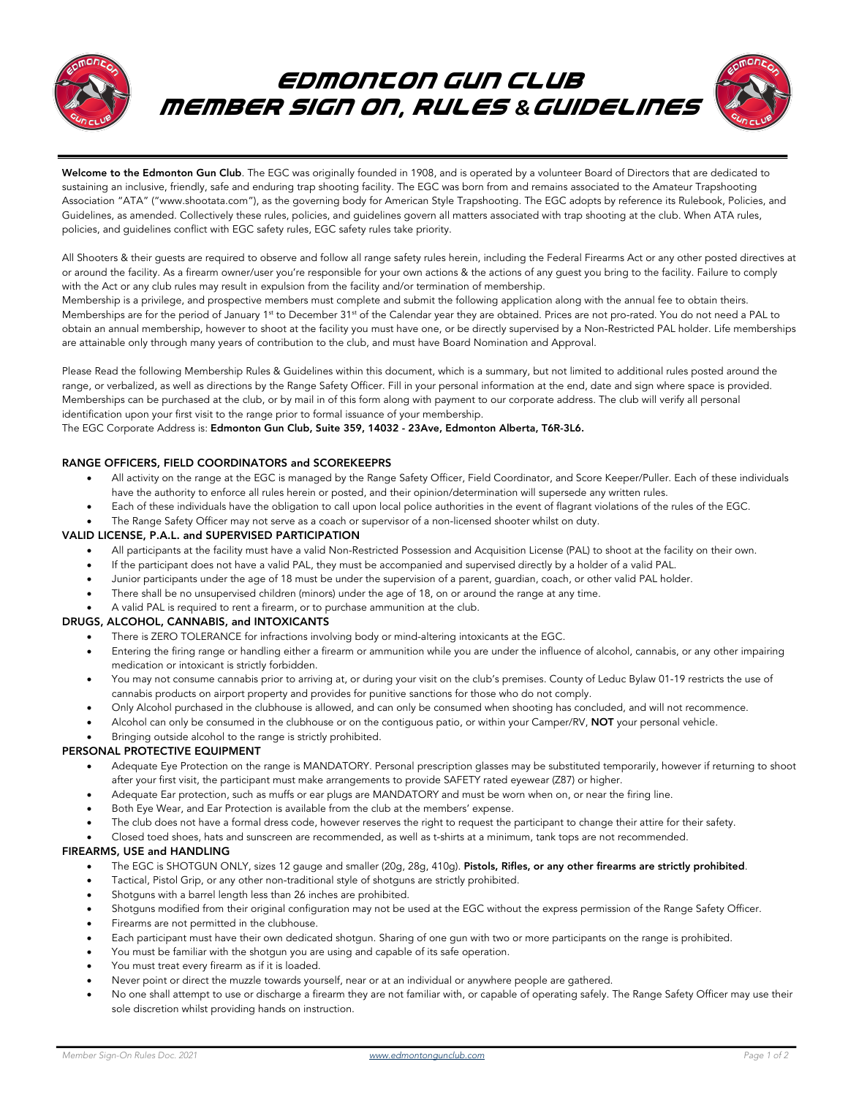

# EDMONTON GUN CLUB member sign on, rules *&*guidelines



Welcome to the Edmonton Gun Club. The EGC was originally founded in 1908, and is operated by a volunteer Board of Directors that are dedicated to sustaining an inclusive, friendly, safe and enduring trap shooting facility. The EGC was born from and remains associated to the Amateur Trapshooting Association "ATA" ("www.shootata.com"), as the governing body for American Style Trapshooting. The EGC adopts by reference its Rulebook, Policies, and Guidelines, as amended. Collectively these rules, policies, and guidelines govern all matters associated with trap shooting at the club. When ATA rules, policies, and guidelines conflict with EGC safety rules, EGC safety rules take priority.

All Shooters & their guests are required to observe and follow all range safety rules herein, including the Federal Firearms Act or any other posted directives at or around the facility. As a firearm owner/user you're responsible for your own actions & the actions of any guest you bring to the facility. Failure to comply with the Act or any club rules may result in expulsion from the facility and/or termination of membership.

Membership is a privilege, and prospective members must complete and submit the following application along with the annual fee to obtain theirs. Memberships are for the period of January 1<sup>st</sup> to December 31<sup>st</sup> of the Calendar year they are obtained. Prices are not pro-rated. You do not need a PAL to obtain an annual membership, however to shoot at the facility you must have one, or be directly supervised by a Non-Restricted PAL holder. Life memberships are attainable only through many years of contribution to the club, and must have Board Nomination and Approval.

Please Read the following Membership Rules & Guidelines within this document, which is a summary, but not limited to additional rules posted around the range, or verbalized, as well as directions by the Range Safety Officer. Fill in your personal information at the end, date and sign where space is provided. Memberships can be purchased at the club, or by mail in of this form along with payment to our corporate address. The club will verify all personal identification upon your first visit to the range prior to formal issuance of your membership.

#### The EGC Corporate Address is: Edmonton Gun Club, Suite 359, 14032 - 23Ave, Edmonton Alberta, T6R-3L6.

# RANGE OFFICERS, FIELD COORDINATORS and SCOREKEEPRS

- All activity on the range at the EGC is managed by the Range Safety Officer, Field Coordinator, and Score Keeper/Puller. Each of these individuals have the authority to enforce all rules herein or posted, and their opinion/determination will supersede any written rules.
- Each of these individuals have the obligation to call upon local police authorities in the event of flagrant violations of the rules of the EGC.
- The Range Safety Officer may not serve as a coach or supervisor of a non-licensed shooter whilst on duty.

## VALID LICENSE, P.A.L. and SUPERVISED PARTICIPATION

- All participants at the facility must have a valid Non-Restricted Possession and Acquisition License (PAL) to shoot at the facility on their own.
- If the participant does not have a valid PAL, they must be accompanied and supervised directly by a holder of a valid PAL.
- Junior participants under the age of 18 must be under the supervision of a parent, guardian, coach, or other valid PAL holder.
- There shall be no unsupervised children (minors) under the age of 18, on or around the range at any time.
- A valid PAL is required to rent a firearm, or to purchase ammunition at the club.

#### DRUGS, ALCOHOL, CANNABIS, and INTOXICANTS

- There is ZERO TOLERANCE for infractions involving body or mind-altering intoxicants at the EGC.
- Entering the firing range or handling either a firearm or ammunition while you are under the influence of alcohol, cannabis, or any other impairing medication or intoxicant is strictly forbidden.
- You may not consume cannabis prior to arriving at, or during your visit on the club's premises. County of Leduc Bylaw 01-19 restricts the use of cannabis products on airport property and provides for punitive sanctions for those who do not comply.
- Only Alcohol purchased in the clubhouse is allowed, and can only be consumed when shooting has concluded, and will not recommence.
- Alcohol can only be consumed in the clubhouse or on the contiguous patio, or within your Camper/RV, NOT your personal vehicle.
- Bringing outside alcohol to the range is strictly prohibited.

#### PERSONAL PROTECTIVE EQUIPMENT

- Adequate Eye Protection on the range is MANDATORY. Personal prescription glasses may be substituted temporarily, however if returning to shoot after your first visit, the participant must make arrangements to provide SAFETY rated eyewear (Z87) or higher.
- Adequate Ear protection, such as muffs or ear plugs are MANDATORY and must be worn when on, or near the firing line.
- Both Eye Wear, and Ear Protection is available from the club at the members' expense.
- The club does not have a formal dress code, however reserves the right to request the participant to change their attire for their safety.
- Closed toed shoes, hats and sunscreen are recommended, as well as t-shirts at a minimum, tank tops are not recommended.

#### FIREARMS, USE and HANDLING

- The EGC is SHOTGUN ONLY, sizes 12 gauge and smaller (20g, 28g, 410g). Pistols, Rifles, or any other firearms are strictly prohibited.
- Tactical, Pistol Grip, or any other non-traditional style of shotguns are strictly prohibited.
- Shotguns with a barrel length less than 26 inches are prohibited.
- Shotguns modified from their original configuration may not be used at the EGC without the express permission of the Range Safety Officer.
- Firearms are not permitted in the clubhouse.
- Each participant must have their own dedicated shotgun. Sharing of one gun with two or more participants on the range is prohibited.
- You must be familiar with the shotgun you are using and capable of its safe operation.
- You must treat every firearm as if it is loaded.
- Never point or direct the muzzle towards yourself, near or at an individual or anywhere people are gathered.
- No one shall attempt to use or discharge a firearm they are not familiar with, or capable of operating safely. The Range Safety Officer may use their sole discretion whilst providing hands on instruction.